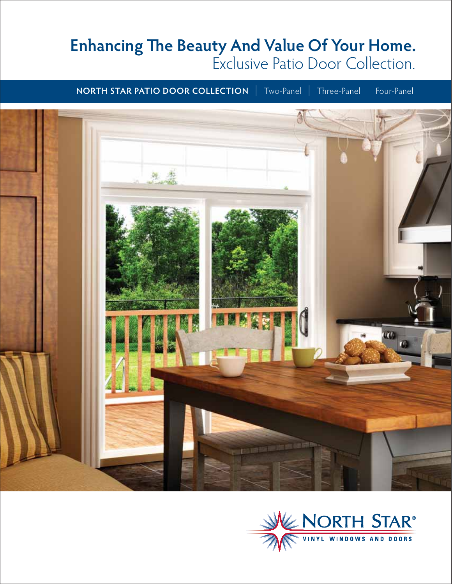# **Enhancing The Beauty And Value Of Your Home.** Exclusive Patio Door Collection.

**NORTH STAR PATIO DOOR COLLECTION** | Two-Panel | Three-Panel | Four-Panel



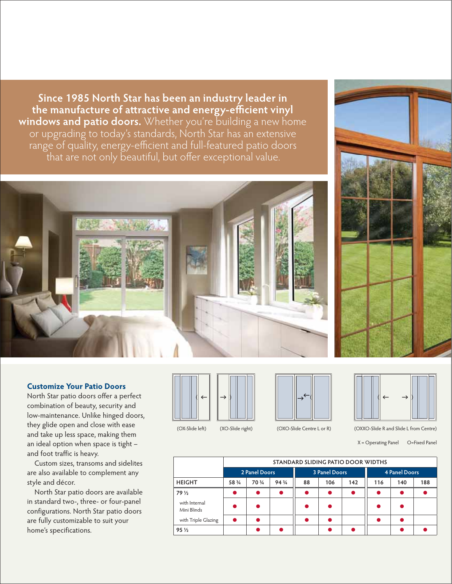**Since 1985 North Star has been an industry leader in**  the manufacture of attractive and energy-efficient vinyl **windows and patio doors.** Whether you're building a new home or upgrading to today's standards, North Star has an extensive range of quality, energy-efficient and full-featured patio doors that are not only beautiful, but offer exceptional value.



North Star patio doors offer a perfect combination of beauty, security and low-maintenance. Unlike hinged doors, they glide open and close with ease and take up less space, making them an ideal option when space is tight – and foot traffic is heavy.

 Custom sizes, transoms and sidelites are also available to complement any style and décor.

 North Star patio doors are available in standard two-, three- or four-panel configurations. North Star patio doors are fully customizable to suit your home's specifications.

 $\leftarrow$ 

 $\rightarrow$ 

(OX-Slide left) (XO-Slide right) (OXO-Slide Centre L or R)

(OXXO-Slide R and Slide L from Centre) X = Operating Panel O=Fixed Panel

 $\rightarrow$ 

 $\leftarrow$ 

|                              | STANDARD SLIDING PATIO DOOR WIDTHS |        |        |                      |     |     |               |     |     |
|------------------------------|------------------------------------|--------|--------|----------------------|-----|-----|---------------|-----|-----|
|                              | 2 Panel Doors                      |        |        | <b>3 Panel Doors</b> |     |     | 4 Panel Doors |     |     |
| <b>HEIGHT</b>                | 58 3/4                             | 70 3/4 | 94 3/4 | 88                   | 106 | 142 | 116           | 140 | 188 |
| 79 1/2                       |                                    | ▲      | ●      |                      |     | O   |               |     |     |
| with Internal<br>Mini Blinds |                                    |        |        |                      |     |     |               |     |     |
| with Triple Glazing          |                                    |        |        |                      |     |     |               |     |     |
| $95\frac{1}{2}$              |                                    |        |        |                      |     |     |               |     |     |







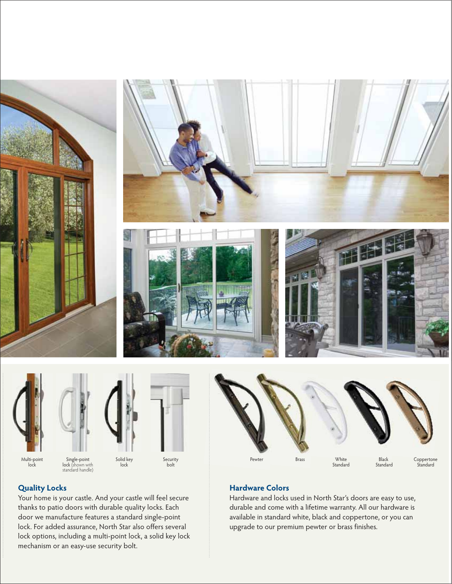



Single-point lock (shown with standard handle)



Security bolt



# **Quality Locks**

Your home is your castle. And your castle will feel secure thanks to patio doors with durable quality locks. Each door we manufacture features a standard single-point lock. For added assurance, North Star also offers several lock options, including a multi-point lock, a solid key lock mechanism or an easy-use security bolt.

# **Hardware Colors**

Hardware and locks used in North Star's doors are easy to use, durable and come with a lifetime warranty. All our hardware is available in standard white, black and coppertone, or you can upgrade to our premium pewter or brass finishes.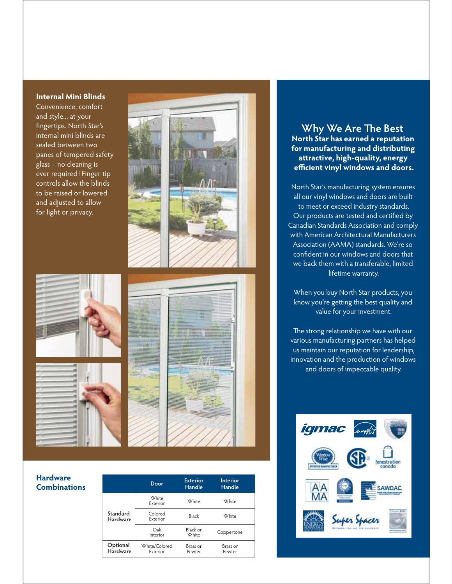#### **Internal Mini Blinds**

Convenience, comfort and style... at your fingertips. North Star's internal mini blinds are sealed between two panes of tempered safety glass – no cleaning is ever required! Finger tip controls allow the blinds to be raised or lowered and adjusted to allow for light or privacy.



### **Hardware Combinations**

|                             | Door                      | <b>Exterior</b><br><b>Handle</b> | <b>Interior</b><br><b>Handle</b> |  |
|-----------------------------|---------------------------|----------------------------------|----------------------------------|--|
|                             | <b>White</b><br>Exterior  | <b>White</b>                     | <b>White</b>                     |  |
| Standard<br><b>Hardware</b> | Colored<br>Exterior       | Black                            | <b>White</b>                     |  |
|                             | Oak<br>Interior           | Black or<br><b>White</b>         | Coppertone                       |  |
| Optional<br>Hardware        | White/Colored<br>Exterior | Brass or<br>Pewter               | Brass or<br>Pewter               |  |
|                             |                           |                                  |                                  |  |

# **Why We Are The Best North Star has earned a reputation for manufacturing and distributing att ractive, high-quality, energy effi cient vinyl windows and doors.**

North Star's manufacturing system ensures all our vinyl windows and doors are built to meet or exceed industry standards. Our products are tested and certified by Canadian Standards Association and comply with American Architectural Manufacturers Association (AAMA) standards. We're so confident in our windows and doors that we back them with a transferable, limited lifetime warranty.

When you buy North Star products, you know you're getting the best quality and value for your investment.

The strong relationship we have with our various manufacturing partners has helped us maintain our reputation for leadership, innovation and the production of windows and doors of impeccable quality.

![](_page_3_Picture_9.jpeg)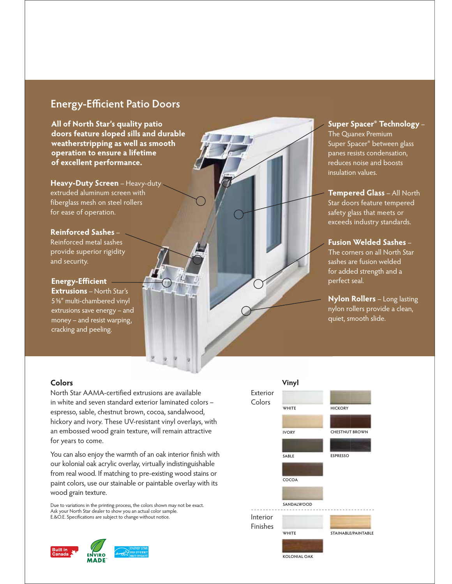# **Energy-Efficient Patio Doors**

**All of North Star's quality patio**  All of North Star's quality patio<br>doors feature sloped sills and durable **weatherstripping as well as smooth operation to ensure a lifetime of excellent performance.** 

**Heavy-Duty Screen** – Heavy-duty extruded aluminum screen with fiberglass mesh on steel rollers for ease of operation.

**Reinforced Sashes** – Reinforced metal sashes provide superior rigidity and security.

**Energy-Efficient Extrusions** – North Star's 5⅝″ multi-chambered vinyl extrusions save energy – and money – and resist warping, cracking and peeling.

# **Super Spacer® Technology** – The Quanex Premium Super Spacer® between glass panes resists condensation, reduces noise and boosts insulation values.

**Tempered Glass** – All North Star doors feature tempered safety glass that meets or exceeds industry standards.

**Fusion Welded Sashes** – The corners on all North Star sashes are fusion welded for added strength and a perfect seal.

**Nylon Rollers** – Long lasting nylon rollers provide a clean, quiet, smooth slide.

#### **Colors**

North Star AAMA-certified extrusions are available in white and seven standard exterior laminated colors – espresso, sable, chestnut brown, cocoa, sandalwood, hickory and ivory. These UV-resistant vinyl overlays, with an embossed wood grain texture, will remain attractive for years to come.

You can also enjoy the warmth of an oak interior finish with our kolonial oak acrylic overlay, virtually indistinguishable from real wood. If matching to pre-existing wood stains or paint colors, use our stainable or paintable overlay with its wood grain texture.

Due to variations in the printing process, the colors shown may not be exact. Ask your North Star dealer to show you an actual color sample. E.&O.E. Specifications are subject to change without notice.

![](_page_4_Picture_13.jpeg)

![](_page_4_Figure_14.jpeg)